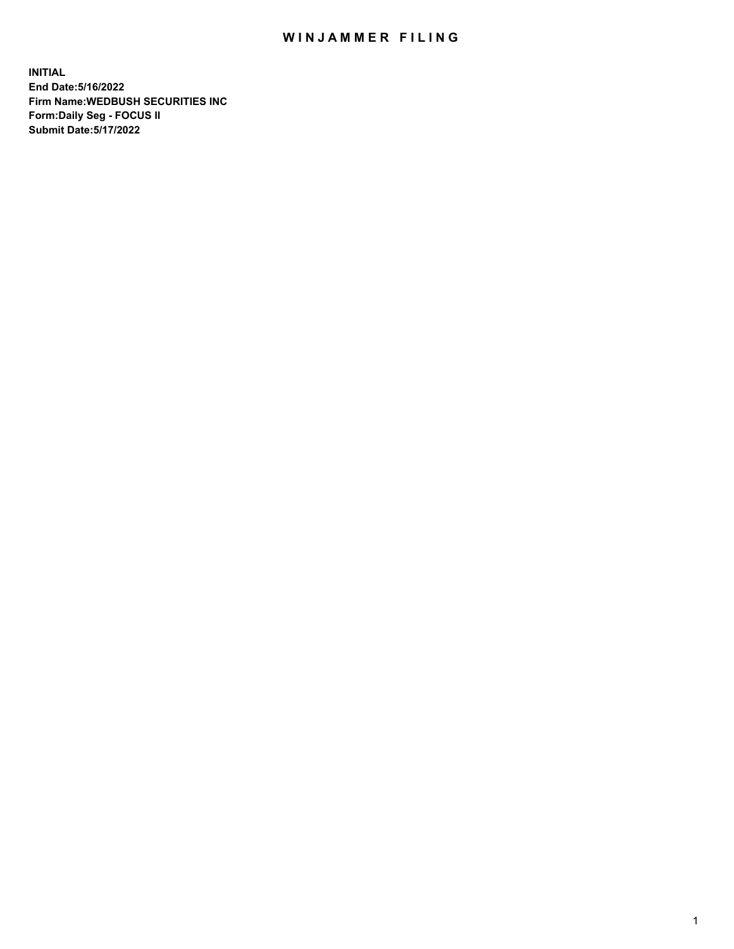## WIN JAMMER FILING

**INITIAL End Date:5/16/2022 Firm Name:WEDBUSH SECURITIES INC Form:Daily Seg - FOCUS II Submit Date:5/17/2022**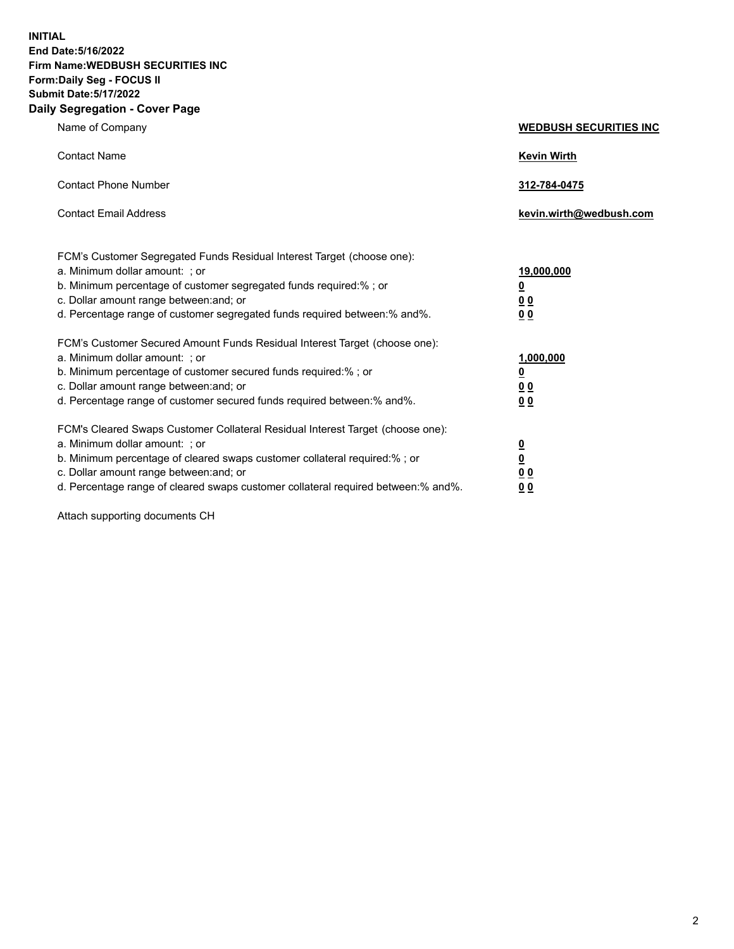**INITIAL End Date:5/16/2022 Firm Name:WEDBUSH SECURITIES INC Form:Daily Seg - FOCUS II Submit Date:5/17/2022 Daily Segregation - Cover Page**

| Name of Company                                                                                                                                                                                                                                                                                       | <b>WEDBUSH SECURITIES INC</b>                                        |
|-------------------------------------------------------------------------------------------------------------------------------------------------------------------------------------------------------------------------------------------------------------------------------------------------------|----------------------------------------------------------------------|
| <b>Contact Name</b>                                                                                                                                                                                                                                                                                   | <b>Kevin Wirth</b>                                                   |
| <b>Contact Phone Number</b>                                                                                                                                                                                                                                                                           | 312-784-0475                                                         |
| <b>Contact Email Address</b>                                                                                                                                                                                                                                                                          | kevin.wirth@wedbush.com                                              |
| FCM's Customer Segregated Funds Residual Interest Target (choose one):<br>a. Minimum dollar amount: ; or<br>b. Minimum percentage of customer segregated funds required:%; or<br>c. Dollar amount range between: and; or<br>d. Percentage range of customer segregated funds required between:% and%. | 19,000,000<br><u>0</u><br><u>00</u><br>0 <sub>0</sub>                |
| FCM's Customer Secured Amount Funds Residual Interest Target (choose one):<br>a. Minimum dollar amount: ; or<br>b. Minimum percentage of customer secured funds required:%; or<br>c. Dollar amount range between: and; or<br>d. Percentage range of customer secured funds required between:% and%.   | 1,000,000<br><u>0</u><br>00<br>0 <sub>0</sub>                        |
| FCM's Cleared Swaps Customer Collateral Residual Interest Target (choose one):<br>a. Minimum dollar amount: ; or<br>b. Minimum percentage of cleared swaps customer collateral required:% ; or<br>c. Dollar amount range between: and; or                                                             | $\overline{\mathbf{0}}$<br>$\overline{\mathbf{0}}$<br>0 <sub>0</sub> |

d. Percentage range of cleared swaps customer collateral required between:% and%. **0 0**

Attach supporting documents CH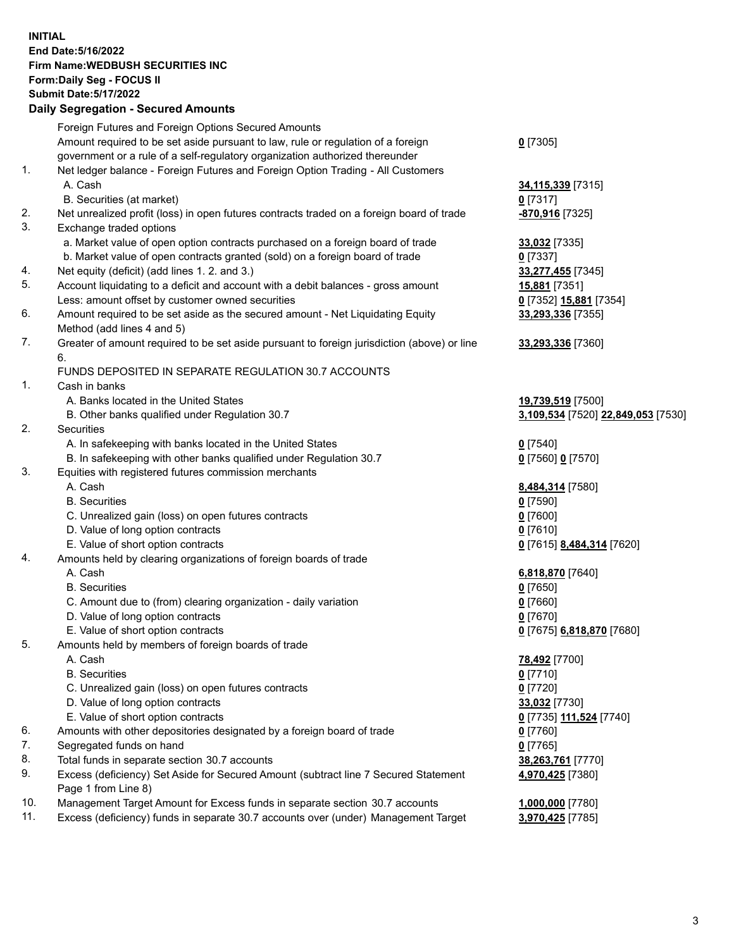**INITIAL End Date:5/16/2022 Firm Name:WEDBUSH SECURITIES INC Form:Daily Seg - FOCUS II Submit Date:5/17/2022 Daily Segregation - Secured Amounts**

|     | Foreign Futures and Foreign Options Secured Amounts                                                        |                                    |
|-----|------------------------------------------------------------------------------------------------------------|------------------------------------|
|     | Amount required to be set aside pursuant to law, rule or regulation of a foreign                           | $0$ [7305]                         |
|     | government or a rule of a self-regulatory organization authorized thereunder                               |                                    |
| 1.  | Net ledger balance - Foreign Futures and Foreign Option Trading - All Customers                            |                                    |
|     | A. Cash                                                                                                    | 34,115,339 [7315]                  |
|     | B. Securities (at market)                                                                                  | $0$ [7317]                         |
| 2.  | Net unrealized profit (loss) in open futures contracts traded on a foreign board of trade                  | -870,916 [7325]                    |
| 3.  | Exchange traded options                                                                                    |                                    |
|     | a. Market value of open option contracts purchased on a foreign board of trade                             | 33,032 [7335]                      |
|     | b. Market value of open contracts granted (sold) on a foreign board of trade                               | $0$ [7337]                         |
| 4.  | Net equity (deficit) (add lines 1. 2. and 3.)                                                              | 33,277,455 [7345]                  |
| 5.  | Account liquidating to a deficit and account with a debit balances - gross amount                          | 15,881 [7351]                      |
|     | Less: amount offset by customer owned securities                                                           | 0 [7352] 15,881 [7354]             |
| 6.  | Amount required to be set aside as the secured amount - Net Liquidating Equity                             | 33,293,336 [7355]                  |
| 7.  | Method (add lines 4 and 5)                                                                                 |                                    |
|     | Greater of amount required to be set aside pursuant to foreign jurisdiction (above) or line                | 33,293,336 [7360]                  |
|     | 6.<br>FUNDS DEPOSITED IN SEPARATE REGULATION 30.7 ACCOUNTS                                                 |                                    |
| 1.  | Cash in banks                                                                                              |                                    |
|     | A. Banks located in the United States                                                                      | 19,739,519 [7500]                  |
|     | B. Other banks qualified under Regulation 30.7                                                             | 3,109,534 [7520] 22,849,053 [7530] |
| 2.  | Securities                                                                                                 |                                    |
|     | A. In safekeeping with banks located in the United States                                                  | $0$ [7540]                         |
|     | B. In safekeeping with other banks qualified under Regulation 30.7                                         | 0 [7560] 0 [7570]                  |
| 3.  | Equities with registered futures commission merchants                                                      |                                    |
|     | A. Cash                                                                                                    | 8,484,314 [7580]                   |
|     | <b>B.</b> Securities                                                                                       | $0$ [7590]                         |
|     | C. Unrealized gain (loss) on open futures contracts                                                        | $0$ [7600]                         |
|     | D. Value of long option contracts                                                                          | $0$ [7610]                         |
|     | E. Value of short option contracts                                                                         | 0 [7615] 8,484,314 [7620]          |
| 4.  | Amounts held by clearing organizations of foreign boards of trade                                          |                                    |
|     | A. Cash                                                                                                    | 6,818,870 [7640]                   |
|     | <b>B.</b> Securities                                                                                       | $0$ [7650]                         |
|     | C. Amount due to (from) clearing organization - daily variation                                            | $0$ [7660]                         |
|     | D. Value of long option contracts                                                                          | $0$ [7670]                         |
|     | E. Value of short option contracts                                                                         | 0 [7675] 6,818,870 [7680]          |
| 5.  | Amounts held by members of foreign boards of trade                                                         |                                    |
|     | A. Cash                                                                                                    | 78,492 [7700]                      |
|     | <b>B.</b> Securities                                                                                       | $0$ [7710]                         |
|     | C. Unrealized gain (loss) on open futures contracts                                                        | $0$ [7720]                         |
|     | D. Value of long option contracts                                                                          | 33,032 [7730]                      |
|     | E. Value of short option contracts                                                                         | 0 [7735] 111,524 [7740]            |
| 6.  | Amounts with other depositories designated by a foreign board of trade                                     | $0$ [7760]                         |
| 7.  | Segregated funds on hand                                                                                   | $0$ [7765]                         |
| 8.  | Total funds in separate section 30.7 accounts                                                              | 38,263,761 [7770]                  |
| 9.  | Excess (deficiency) Set Aside for Secured Amount (subtract line 7 Secured Statement<br>Page 1 from Line 8) | 4,970,425 [7380]                   |
| 10. | Management Target Amount for Excess funds in separate section 30.7 accounts                                | 1,000,000 [7780]                   |
| 11. | Excess (deficiency) funds in separate 30.7 accounts over (under) Management Target                         | 3,970,425 [7785]                   |
|     |                                                                                                            |                                    |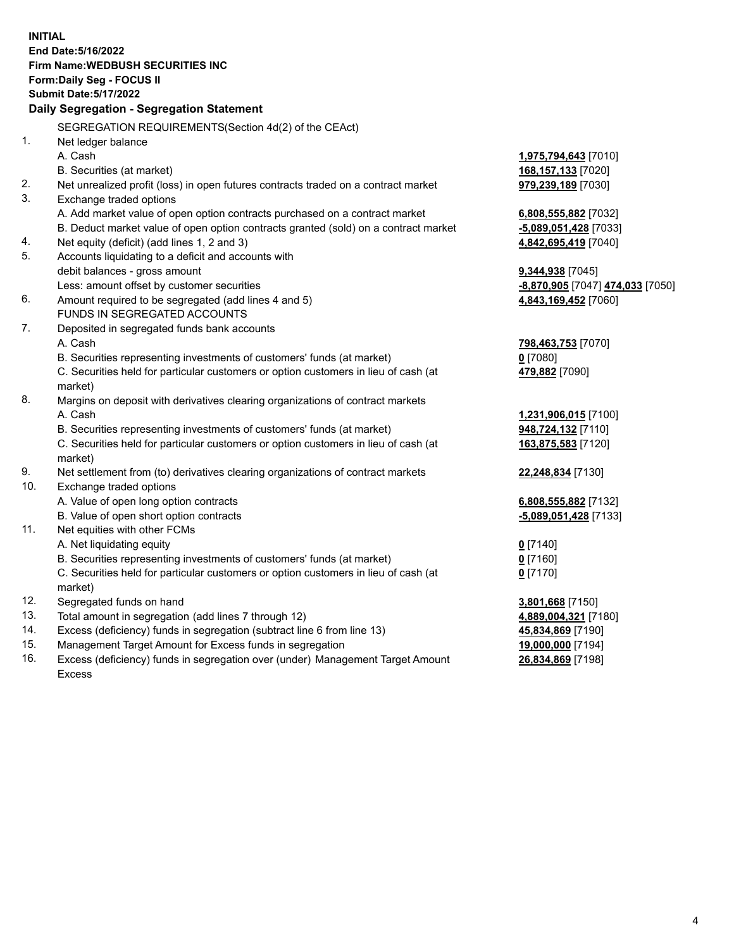|     | <b>INITIAL</b>                                                                      |                                  |
|-----|-------------------------------------------------------------------------------------|----------------------------------|
|     | End Date: 5/16/2022                                                                 |                                  |
|     | <b>Firm Name: WEDBUSH SECURITIES INC</b>                                            |                                  |
|     | Form: Daily Seg - FOCUS II                                                          |                                  |
|     | <b>Submit Date: 5/17/2022</b>                                                       |                                  |
|     | Daily Segregation - Segregation Statement                                           |                                  |
|     | SEGREGATION REQUIREMENTS(Section 4d(2) of the CEAct)                                |                                  |
| 1.  | Net ledger balance                                                                  |                                  |
|     | A. Cash                                                                             | 1,975,794,643 [7010]             |
|     | B. Securities (at market)                                                           | 168,157,133 [7020]               |
| 2.  | Net unrealized profit (loss) in open futures contracts traded on a contract market  | 979,239,189 [7030]               |
| 3.  | Exchange traded options                                                             |                                  |
|     | A. Add market value of open option contracts purchased on a contract market         | 6,808,555,882 [7032]             |
|     | B. Deduct market value of open option contracts granted (sold) on a contract market | -5,089,051,428 [7033]            |
| 4.  | Net equity (deficit) (add lines 1, 2 and 3)                                         | 4,842,695,419 [7040]             |
| 5.  | Accounts liquidating to a deficit and accounts with                                 |                                  |
|     | debit balances - gross amount                                                       | 9,344,938 [7045]                 |
|     | Less: amount offset by customer securities                                          | -8,870,905 [7047] 474,033 [7050] |
| 6.  | Amount required to be segregated (add lines 4 and 5)                                | 4,843,169,452 [7060]             |
|     | <b>FUNDS IN SEGREGATED ACCOUNTS</b>                                                 |                                  |
| 7.  | Deposited in segregated funds bank accounts                                         |                                  |
|     | A. Cash                                                                             | 798,463,753 [7070]               |
|     | B. Securities representing investments of customers' funds (at market)              | $0$ [7080]                       |
|     | C. Securities held for particular customers or option customers in lieu of cash (at | 479,882 [7090]                   |
|     | market)                                                                             |                                  |
| 8.  | Margins on deposit with derivatives clearing organizations of contract markets      |                                  |
|     | A. Cash                                                                             | 1,231,906,015 [7100]             |
|     | B. Securities representing investments of customers' funds (at market)              | 948,724,132 [7110]               |
|     | C. Securities held for particular customers or option customers in lieu of cash (at | 163,875,583 [7120]               |
|     | market)                                                                             |                                  |
| 9.  | Net settlement from (to) derivatives clearing organizations of contract markets     | 22,248,834 [7130]                |
| 10. | Exchange traded options                                                             |                                  |
|     | A. Value of open long option contracts                                              | 6,808,555,882 [7132]             |
|     | B. Value of open short option contracts                                             | -5,089,051,428 [7133]            |
| 11. | Net equities with other FCMs                                                        |                                  |
|     | A. Net liquidating equity                                                           | $0$ [7140]                       |
|     | B. Securities representing investments of customers' funds (at market)              | $0$ [7160]                       |
|     | C. Securities held for particular customers or option customers in lieu of cash (at | $0$ [7170]                       |
|     | market)                                                                             |                                  |
| 12. | Segregated funds on hand                                                            | 3,801,668 [7150]                 |
| 13. | Total amount in segregation (add lines 7 through 12)                                | 4,889,004,321 [7180]             |
| 14. | Excess (deficiency) funds in segregation (subtract line 6 from line 13)             | 45,834,869 [7190]                |
| 15. | Management Target Amount for Excess funds in segregation                            | 19,000,000 [7194]                |
| 16. | Excess (deficiency) funds in segregation over (under) Management Target Amount      | 26,834,869 [7198]                |

16. Excess (deficiency) funds in segregation over (under) Management Target Amount Excess